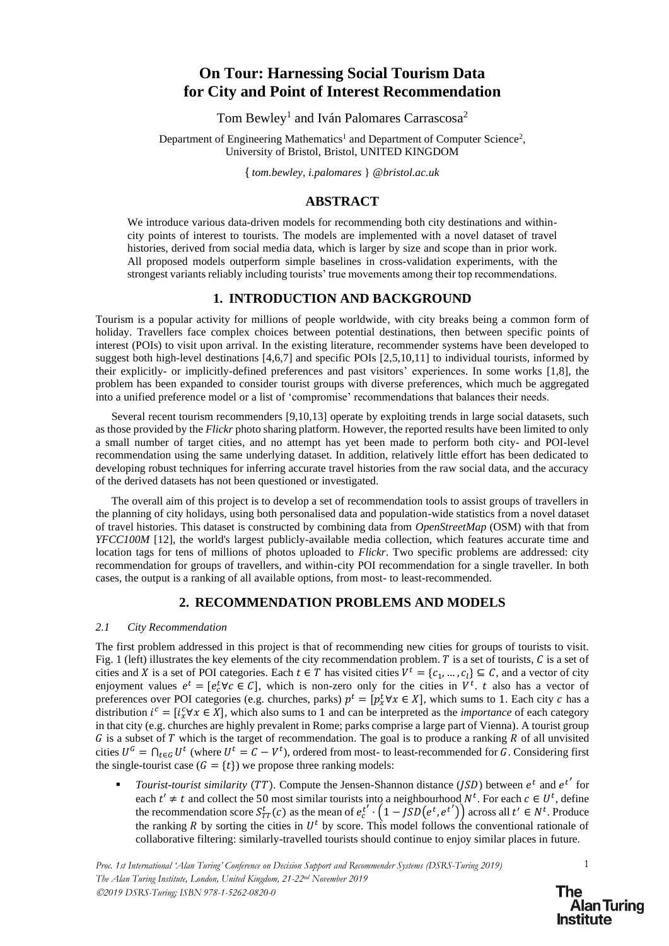# **On Tour: Harnessing Social Tourism Data for City and Point of Interest Recommendation**

Tom Bewley<sup>1</sup> and Iván Palomares Carrascosa<sup>2</sup>

Department of Engineering Mathematics<sup>1</sup> and Department of Computer Science<sup>2</sup>, University of Bristol, Bristol, UNITED KINGDOM

{ *tom.bewley, i.palomares* } *[@bristol.ac.uk](mailto:1ab@etc)*

## **ABSTRACT**

We introduce various data-driven models for recommending both city destinations and withincity points of interest to tourists. The models are implemented with a novel dataset of travel histories, derived from social media data, which is larger by size and scope than in prior work. All proposed models outperform simple baselines in cross-validation experiments, with the strongest variants reliably including tourists' true movements among their top recommendations.

#### **1. INTRODUCTION AND BACKGROUND**

Tourism is a popular activity for millions of people worldwide, with city breaks being a common form of holiday. Travellers face complex choices between potential destinations, then between specific points of interest (POIs) to visit upon arrival. In the existing literature, recommender systems have been developed to suggest both high-level destinations [4,6,7] and specific POIs [2,5,10,11] to individual tourists, informed by their explicitly- or implicitly-defined preferences and past visitors' experiences. In some works [1,8], the problem has been expanded to consider tourist groups with diverse preferences, which much be aggregated into a unified preference model or a list of 'compromise' recommendations that balances their needs.

Several recent tourism recommenders [9,10,13] operate by exploiting trends in large social datasets, such as those provided by the *Flickr* photo sharing platform. However, the reported results have been limited to only a small number of target cities, and no attempt has yet been made to perform both city- and POI-level recommendation using the same underlying dataset. In addition, relatively little effort has been dedicated to developing robust techniques for inferring accurate travel histories from the raw social data, and the accuracy of the derived datasets has not been questioned or investigated.

The overall aim of this project is to develop a set of recommendation tools to assist groups of travellers in the planning of city holidays, using both personalised data and population-wide statistics from a novel dataset of travel histories. This dataset is constructed by combining data from *OpenStreetMap* (OSM) with that from *YFCC100M* [12], the world's largest publicly-available media collection, which features accurate time and location tags for tens of millions of photos uploaded to *Flickr*. Two specific problems are addressed: city recommendation for groups of travellers, and within-city POI recommendation for a single traveller. In both cases, the output is a ranking of all available options, from most- to least-recommended.

### **2. RECOMMENDATION PROBLEMS AND MODELS**

#### *2.1 City Recommendation*

The first problem addressed in this project is that of recommending new cities for groups of tourists to visit. Fig. 1 (left) illustrates the key elements of the city recommendation problem. T is a set of tourists,  $C$  is a set of cities and X is a set of POI categories. Each  $t \in T$  has visited cities  $V^t = \{c_1, ..., c_l\} \subseteq C$ , and a vector of city enjoyment values  $e^t = [e_c^t \forall c \in C]$ , which is non-zero only for the cities in  $V^t$ . t also has a vector of preferences over POI categories (e.g. churches, parks)  $p^t = [p_x^t \forall x \in X]$ , which sums to 1. Each city c has a distribution  $i^c = [i_x^c \forall x \in X]$ , which also sums to 1 and can be interpreted as the *importance* of each category in that city (e.g. churches are highly prevalent in Rome; parks comprise a large part of Vienna). A tourist group  $G$  is a subset of  $T$  which is the target of recommendation. The goal is to produce a ranking  $R$  of all unvisited cities  $U^G = \bigcap_{t \in G} U^t$  (where  $U^t = C - V^t$ ), ordered from most- to least-recommended for G. Considering first the single-tourist case  $(G = \{t\})$  we propose three ranking models:

**•** *Tourist-tourist similarity (TT).* Compute the Jensen-Shannon distance (*JSD*) between  $e^t$  and  $e^{t'}$  for each  $t' \neq t$  and collect the 50 most similar tourists into a neighbourhood  $N^t$ . For each  $c \in U^t$ , define the recommendation score  $S_{TT}^t(c)$  as the mean of  $e_c^{t'} \cdot (1 - jSD(e^t, e^{t'}))$  across all  $t' \in N^t$ . Produce the ranking R by sorting the cities in  $U^t$  by score. This model follows the conventional rationale of collaborative filtering: similarly-travelled tourists should continue to enjoy similar places in future.

1

**The Alan Turing Institute**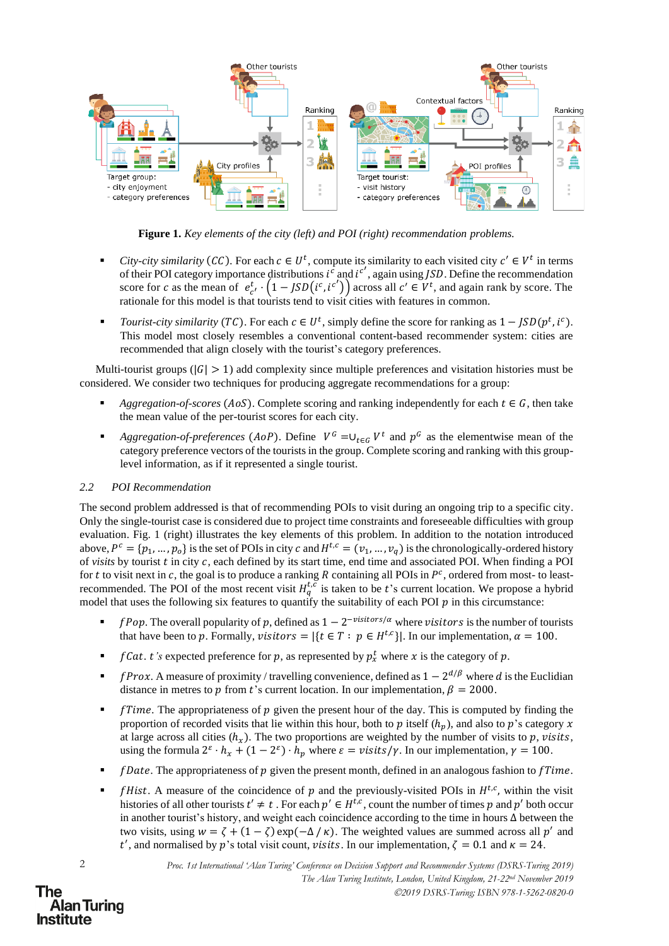

**Figure 1.** *Key elements of the city (left) and POI (right) recommendation problems.*

- *City-city similarity* (*CC*). For each  $c \in U^t$ , compute its similarity to each visited city  $c' \in V^t$  in terms of their POI category importance distributions  $i^c$  and  $i^{c'}$ , again using *JSD*. Define the recommendation score for c as the mean of  $e_{c'}^t \cdot (1 - JSD(i^c, i^{c'}))$  across all  $c' \in V^t$ , and again rank by score. The rationale for this model is that tourists tend to visit cities with features in common.
- *Tourist-city similarity* (TC). For each  $c \in U^t$ , simply define the score for ranking as  $1 JSD(p^t, i^c)$ . This model most closely resembles a conventional content-based recommender system: cities are recommended that align closely with the tourist's category preferences.

Multi-tourist groups ( $|G| > 1$ ) add complexity since multiple preferences and visitation histories must be considered. We consider two techniques for producing aggregate recommendations for a group:

- *Aggregation-of-scores* ( $AoS$ ). Complete scoring and ranking independently for each  $t \in G$ , then take the mean value of the per-tourist scores for each city.
- *Aggregation-of-preferences* (*AoP*). Define  $V^G = \cup_{t \in G} V^t$  and  $p^G$  as the elementwise mean of the category preference vectors of the tourists in the group. Complete scoring and ranking with this grouplevel information, as if it represented a single tourist.

### *2.2 POI Recommendation*

The second problem addressed is that of recommending POIs to visit during an ongoing trip to a specific city. Only the single-tourist case is considered due to project time constraints and foreseeable difficulties with group evaluation. Fig. 1 (right) illustrates the key elements of this problem. In addition to the notation introduced above,  $P^c = \{p_1, ..., p_o\}$  is the set of POIs in city  $c$  and  $H^{t,c} = (v_1, ..., v_q)$  is the chronologically-ordered history of *visits* by tourist *t* in city *c*, each defined by its start time, end time and associated POI. When finding a POI for t to visit next in c, the goal is to produce a ranking R containing all POIs in  $P^c$ , ordered from most- to leastrecommended. The POI of the most recent visit  $H_q^{t,c}$  is taken to be t's current location. We propose a hybrid model that uses the following six features to quantify the suitability of each POI  $p$  in this circumstance:

- **•** *fPop.* The overall popularity of p, defined as  $1 2^{-\text{visitors}/\alpha}$  where visitors is the number of tourists that have been to p. Formally, visitors =  $|\{t \in T : p \in H^{t,c}\}|$ . In our implementation,  $\alpha = 100$ .
- *f Cat. t's* expected preference for p, as represented by  $p_x^t$  where x is the category of p.
- **•** *fProx.* A measure of proximity / travelling convenience, defined as  $1 2^{d/\beta}$  where d is the Euclidian distance in metres to p from t's current location. In our implementation,  $\beta = 2000$ .
- **•** *fTime.* The appropriateness of p given the present hour of the day. This is computed by finding the proportion of recorded visits that lie within this hour, both to p itself  $(h_n)$ , and also to p's category x at large across all cities  $(h_x)$ . The two proportions are weighted by the number of visits to p, visits, using the formula  $2^{\varepsilon} \cdot h_x + (1 - 2^{\varepsilon}) \cdot h_p$  where  $\varepsilon = \nu \text{sits/s} / \gamma$ . In our implementation,  $\gamma = 100$ .
- $\blacksquare$  *[Date.* The appropriateness of  $p$  given the present month, defined in an analogous fashion to  $fTime$ .
- $\blacksquare$  *fHist.* A measure of the coincidence of p and the previously-visited POIs in  $H^{t,c}$ , within the visit histories of all other tourists  $t' \neq t$ . For each  $p' \in H^{t,c}$ , count the number of times p and p' both occur in another tourist's history, and weight each coincidence according to the time in hours Δ between the two visits, using  $w = \zeta + (1 - \zeta) \exp(-\Delta/\kappa)$ . The weighted values are summed across all p' and t', and normalised by p's total visit count, visits. In our implementation,  $\zeta = 0.1$  and  $\kappa = 24$ .

2

### The **Alan Turing Institute**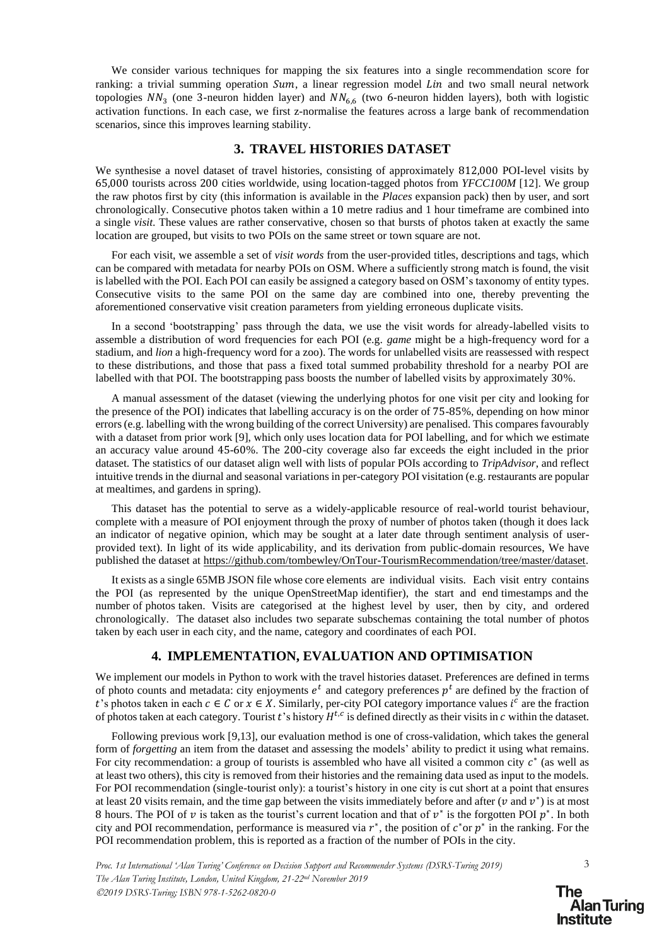We consider various techniques for mapping the six features into a single recommendation score for ranking: a trivial summing operation  $Sum$ , a linear regression model  $Lin$  and two small neural network topologies  $NN_3$  (one 3-neuron hidden layer) and  $NN_{6,6}$  (two 6-neuron hidden layers), both with logistic activation functions. In each case, we first z-normalise the features across a large bank of recommendation scenarios, since this improves learning stability.

### **3. TRAVEL HISTORIES DATASET**

We synthesise a novel dataset of travel histories, consisting of approximately 812,000 POI-level visits by 65,000 tourists across 200 cities worldwide, using location-tagged photos from *YFCC100M* [12]. We group the raw photos first by city (this information is available in the *Places* expansion pack) then by user, and sort chronologically. Consecutive photos taken within a 10 metre radius and 1 hour timeframe are combined into a single *visit*. These values are rather conservative, chosen so that bursts of photos taken at exactly the same location are grouped, but visits to two POIs on the same street or town square are not.

For each visit, we assemble a set of *visit words* from the user-provided titles, descriptions and tags, which can be compared with metadata for nearby POIs on OSM. Where a sufficiently strong match is found, the visit is labelled with the POI. Each POI can easily be assigned a category based on OSM's taxonomy of entity types. Consecutive visits to the same POI on the same day are combined into one, thereby preventing the aforementioned conservative visit creation parameters from yielding erroneous duplicate visits.

In a second 'bootstrapping' pass through the data, we use the visit words for already-labelled visits to assemble a distribution of word frequencies for each POI (e.g. *game* might be a high-frequency word for a stadium, and *lion* a high-frequency word for a zoo). The words for unlabelled visits are reassessed with respect to these distributions, and those that pass a fixed total summed probability threshold for a nearby POI are labelled with that POI. The bootstrapping pass boosts the number of labelled visits by approximately 30%.

A manual assessment of the dataset (viewing the underlying photos for one visit per city and looking for the presence of the POI) indicates that labelling accuracy is on the order of 75-85%, depending on how minor errors (e.g. labelling with the wrong building of the correct University) are penalised. This compares favourably with a dataset from prior work [9], which only uses location data for POI labelling, and for which we estimate an accuracy value around 45-60%. The 200-city coverage also far exceeds the eight included in the prior dataset. The statistics of our dataset align well with lists of popular POIs according to *TripAdvisor*, and reflect intuitive trends in the diurnal and seasonal variations in per-category POI visitation (e.g. restaurants are popular at mealtimes, and gardens in spring).

This dataset has the potential to serve as a widely-applicable resource of real-world tourist behaviour, complete with a measure of POI enjoyment through the proxy of number of photos taken (though it does lack an indicator of negative opinion, which may be sought at a later date through sentiment analysis of userprovided text). In light of its wide applicability, and its derivation from public-domain resources, We have published the dataset at [https://github.com/tombewley/OnTour-TourismRecommendation/tree/master/dataset.](https://github.com/tombewley/OnTour-TourismRecommendation/tree/master/dataset)

It exists as a single 65MB JSON file whose core elements are individual visits. Each visit entry contains the POI (as represented by the unique OpenStreetMap identifier), the start and end timestamps and the number of photos taken. Visits are categorised at the highest level by user, then by city, and ordered chronologically. The dataset also includes two separate subschemas containing the total number of photos taken by each user in each city, and the name, category and coordinates of each POI.

#### **4. IMPLEMENTATION, EVALUATION AND OPTIMISATION**

We implement our models in Python to work with the travel histories dataset. Preferences are defined in terms of photo counts and metadata: city enjoyments  $e^t$  and category preferences  $p^t$  are defined by the fraction of t's photos taken in each  $c \in C$  or  $x \in X$ . Similarly, per-city POI category importance values  $i^c$  are the fraction of photos taken at each category. Tourist t's history  $H^{t,c}$  is defined directly as their visits in c within the dataset.

Following previous work [9,13], our evaluation method is one of cross-validation, which takes the general form of *forgetting* an item from the dataset and assessing the models' ability to predict it using what remains. For city recommendation: a group of tourists is assembled who have all visited a common city  $c^*$  (as well as at least two others), this city is removed from their histories and the remaining data used as input to the models. For POI recommendation (single-tourist only): a tourist's history in one city is cut short at a point that ensures at least 20 visits remain, and the time gap between the visits immediately before and after  $(v$  and  $v^*)$  is at most 8 hours. The POI of  $v$  is taken as the tourist's current location and that of  $v^*$  is the forgotten POI  $p^*$ . In both city and POI recommendation, performance is measured via  $r^*$ , the position of  $c^*$  or  $p^*$  in the ranking. For the POI recommendation problem, this is reported as a fraction of the number of POIs in the city.

*Proc. 1st International 'Alan Turing' Conference on Decision Support and Recommender Systems (DSRS-Turing 2019) The Alan Turing Institute, London, United Kingdom, 21-22nd November 2019* ©*2019 DSRS-Turing; ISBN 978-1-5262-0820-0*

3

The **Alan Turing** Institute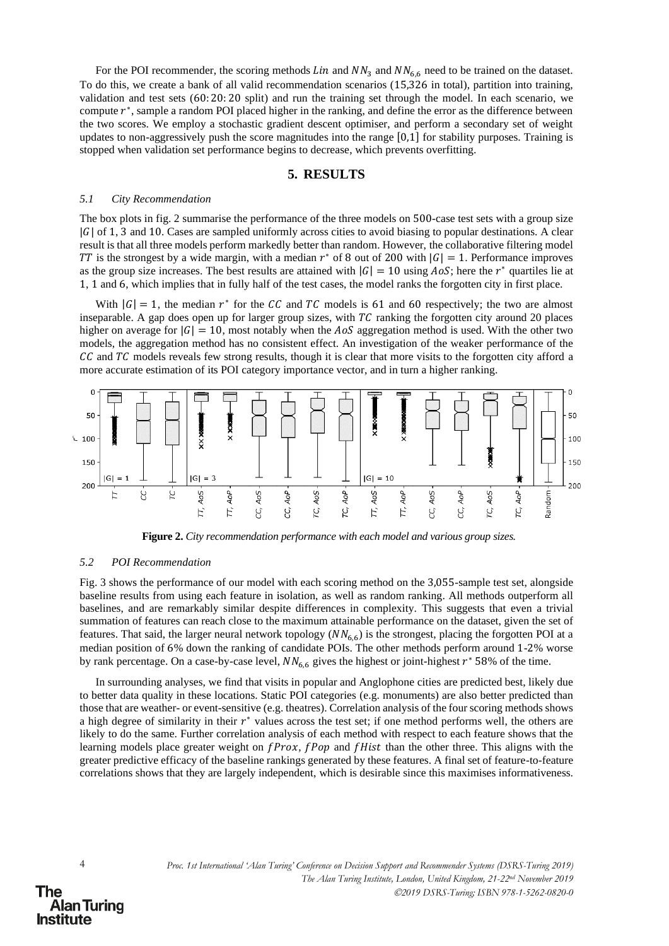For the POI recommender, the scoring methods  $Lin$  and  $NN<sub>3</sub>$  and  $NN<sub>6.6</sub>$  need to be trained on the dataset. To do this, we create a bank of all valid recommendation scenarios (15,326 in total), partition into training, validation and test sets (60: 20: 20 split) and run the training set through the model. In each scenario, we compute  $r^*$ , sample a random POI placed higher in the ranking, and define the error as the difference between the two scores. We employ a stochastic gradient descent optimiser, and perform a secondary set of weight updates to non-aggressively push the score magnitudes into the range [0,1] for stability purposes. Training is stopped when validation set performance begins to decrease, which prevents overfitting.

#### **5. RESULTS**

#### *5.1 City Recommendation*

The box plots in fig. 2 summarise the performance of the three models on 500-case test sets with a group size  $|G|$  of 1, 3 and 10. Cases are sampled uniformly across cities to avoid biasing to popular destinations. A clear result is that all three models perform markedly better than random. However, the collaborative filtering model TT is the strongest by a wide margin, with a median  $r^*$  of 8 out of 200 with  $|G| = 1$ . Performance improves as the group size increases. The best results are attained with  $|G| = 10$  using  $AoS$ ; here the  $r^*$  quartiles lie at 1, 1 and 6, which implies that in fully half of the test cases, the model ranks the forgotten city in first place.

With  $|G| = 1$ , the median  $r^*$  for the CC and TC models is 61 and 60 respectively; the two are almost inseparable. A gap does open up for larger group sizes, with  $TC$  ranking the forgotten city around 20 places higher on average for  $|G| = 10$ , most notably when the AoS aggregation method is used. With the other two models, the aggregation method has no consistent effect. An investigation of the weaker performance of the  $\mathcal{C}\mathcal{C}$  and  $\mathcal{TC}$  models reveals few strong results, though it is clear that more visits to the forgotten city afford a more accurate estimation of its POI category importance vector, and in turn a higher ranking.



**Figure 2.** *City recommendation performance with each model and various group sizes.*

#### *5.2 POI Recommendation*

Fig. 3 shows the performance of our model with each scoring method on the 3,055-sample test set, alongside baseline results from using each feature in isolation, as well as random ranking. All methods outperform all baselines, and are remarkably similar despite differences in complexity. This suggests that even a trivial summation of features can reach close to the maximum attainable performance on the dataset, given the set of features. That said, the larger neural network topology  $(NN_{6,6})$  is the strongest, placing the forgotten POI at a median position of 6% down the ranking of candidate POIs. The other methods perform around 1-2% worse by rank percentage. On a case-by-case level,  $NN_{6,6}$  gives the highest or joint-highest  $r^*$  58% of the time.

In surrounding analyses, we find that visits in popular and Anglophone cities are predicted best, likely due to better data quality in these locations. Static POI categories (e.g. monuments) are also better predicted than those that are weather- or event-sensitive (e.g. theatres). Correlation analysis of the four scoring methods shows a high degree of similarity in their  $r^*$  values across the test set; if one method performs well, the others are likely to do the same. Further correlation analysis of each method with respect to each feature shows that the learning models place greater weight on  $fProx$ ,  $fPop$  and  $fHist$  than the other three. This aligns with the greater predictive efficacy of the baseline rankings generated by these features. A final set of feature-to-feature correlations shows that they are largely independent, which is desirable since this maximises informativeness.

**Alan Turing** 

The

**Institute**